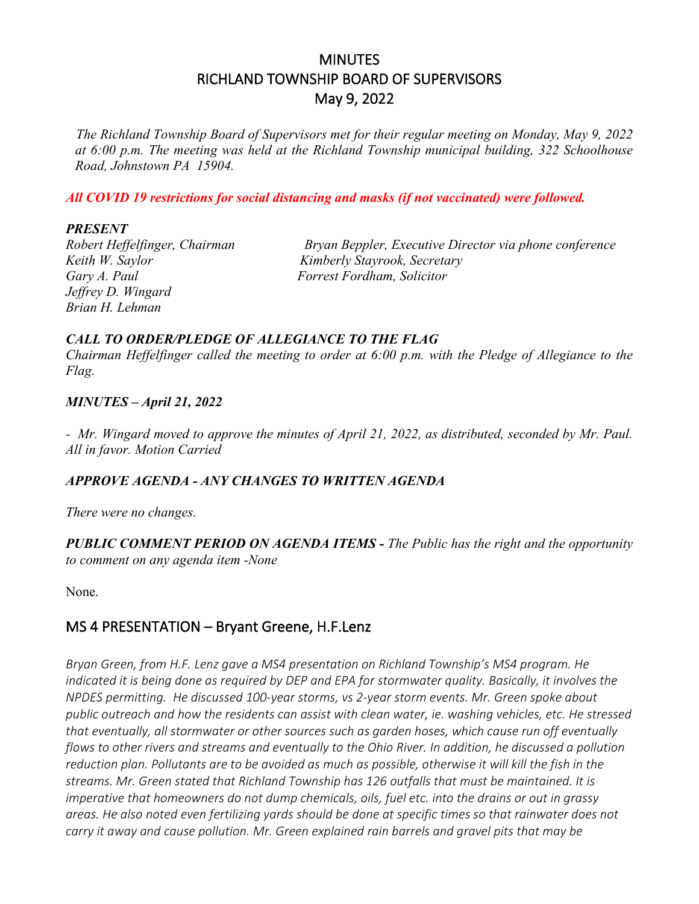# **MINUTES** RICHLAND TOWNSHIP BOARD OF SUPERVISORS May 9, 2022

*The Richland Township Board of Supervisors met for their regular meeting on Monday, May 9, 2022 at 6:00 p.m. The meeting was held at the Richland Township municipal building, 322 Schoolhouse Road, Johnstown PA 15904.*

*All COVID 19 restrictions for social distancing and masks (if not vaccinated) were followed.*

#### *PRESENT*

*Keith W. Saylor Kimberly Stayrook, Secretary Gary A. Paul Forrest Fordham, Solicitor Jeffrey D. Wingard Brian H. Lehman* 

*Robert Heffelfinger, Chairman Bryan Beppler, Executive Director via phone conference*

### *CALL TO ORDER/PLEDGE OF ALLEGIANCE TO THE FLAG*

*Chairman Heffelfinger called the meeting to order at 6:00 p.m. with the Pledge of Allegiance to the Flag.*

### *MINUTES – April 21, 2022*

*- Mr. Wingard moved to approve the minutes of April 21, 2022, as distributed, seconded by Mr. Paul. All in favor. Motion Carried*

### *APPROVE AGENDA - ANY CHANGES TO WRITTEN AGENDA*

*There were no changes.*

### *PUBLIC COMMENT PERIOD ON AGENDA ITEMS - The Public has the right and the opportunity to comment on any agenda item -None*

None.

## MS 4 PRESENTATION – Bryant Greene, H.F.Lenz

*Bryan Green, from H.F. Lenz gave a MS4 presentation on Richland Township's MS4 program. He indicated it is being done as required by DEP and EPA for stormwater quality. Basically, it involves the NPDES permitting. He discussed 100-year storms, vs 2-year storm events. Mr. Green spoke about public outreach and how the residents can assist with clean water, ie. washing vehicles, etc. He stressed that eventually, all stormwater or other sources such as garden hoses, which cause run off eventually flows to other rivers and streams and eventually to the Ohio River. In addition, he discussed a pollution reduction plan. Pollutants are to be avoided as much as possible, otherwise it will kill the fish in the streams. Mr. Green stated that Richland Township has 126 outfalls that must be maintained. It is imperative that homeowners do not dump chemicals, oils, fuel etc. into the drains or out in grassy areas. He also noted even fertilizing yards should be done at specific times so that rainwater does not carry it away and cause pollution. Mr. Green explained rain barrels and gravel pits that may be*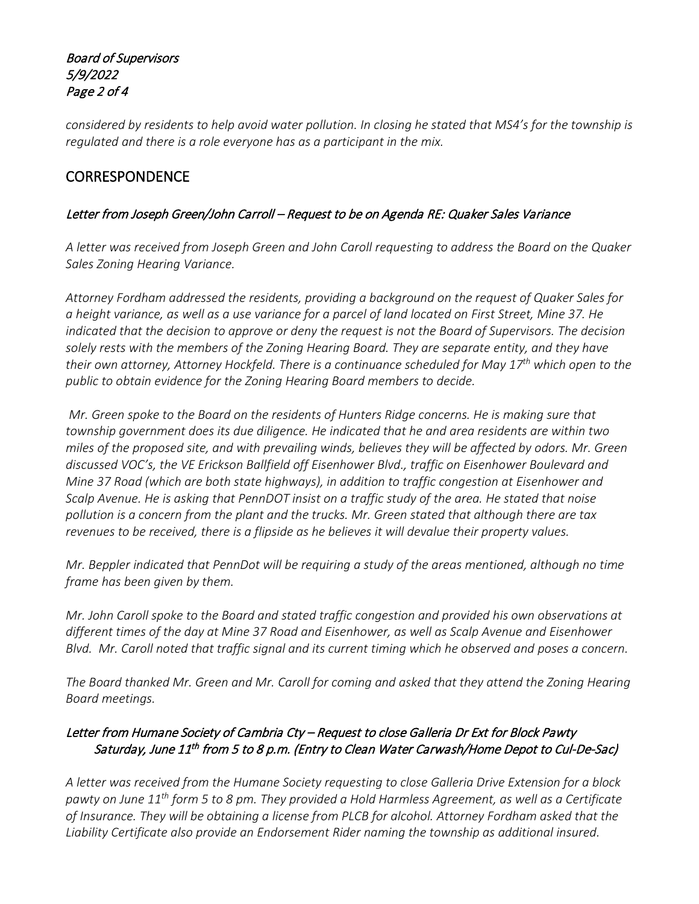### Board of Supervisors 5/9/2022 Page 2 of 4

*considered by residents to help avoid water pollution. In closing he stated that MS4's for the township is regulated and there is a role everyone has as a participant in the mix.*

## **CORRESPONDENCE**

### Letter from Joseph Green/John Carroll – Request to be on Agenda RE: Quaker Sales Variance

*A letter was received from Joseph Green and John Caroll requesting to address the Board on the Quaker Sales Zoning Hearing Variance.* 

*Attorney Fordham addressed the residents, providing a background on the request of Quaker Sales for a height variance, as well as a use variance for a parcel of land located on First Street, Mine 37. He indicated that the decision to approve or deny the request is not the Board of Supervisors. The decision solely rests with the members of the Zoning Hearing Board. They are separate entity, and they have their own attorney, Attorney Hockfeld. There is a continuance scheduled for May 17th which open to the public to obtain evidence for the Zoning Hearing Board members to decide.* 

*Mr. Green spoke to the Board on the residents of Hunters Ridge concerns. He is making sure that township government does its due diligence. He indicated that he and area residents are within two miles of the proposed site, and with prevailing winds, believes they will be affected by odors. Mr. Green discussed VOC's, the VE Erickson Ballfield off Eisenhower Blvd., traffic on Eisenhower Boulevard and Mine 37 Road (which are both state highways), in addition to traffic congestion at Eisenhower and Scalp Avenue. He is asking that PennDOT insist on a traffic study of the area. He stated that noise pollution is a concern from the plant and the trucks. Mr. Green stated that although there are tax revenues to be received, there is a flipside as he believes it will devalue their property values.* 

*Mr. Beppler indicated that PennDot will be requiring a study of the areas mentioned, although no time frame has been given by them.* 

*Mr. John Caroll spoke to the Board and stated traffic congestion and provided his own observations at different times of the day at Mine 37 Road and Eisenhower, as well as Scalp Avenue and Eisenhower Blvd. Mr. Caroll noted that traffic signal and its current timing which he observed and poses a concern.* 

*The Board thanked Mr. Green and Mr. Caroll for coming and asked that they attend the Zoning Hearing Board meetings.* 

### Letter from Humane Society of Cambria Cty – Request to close Galleria Dr Ext for Block Pawty Saturday, June 11<sup>th</sup> from 5 to 8 p.m. (Entry to Clean Water Carwash/Home Depot to Cul-De-Sac)

*A letter was received from the Humane Society requesting to close Galleria Drive Extension for a block pawty on June 11th form 5 to 8 pm. They provided a Hold Harmless Agreement, as well as a Certificate of Insurance. They will be obtaining a license from PLCB for alcohol. Attorney Fordham asked that the Liability Certificate also provide an Endorsement Rider naming the township as additional insured.*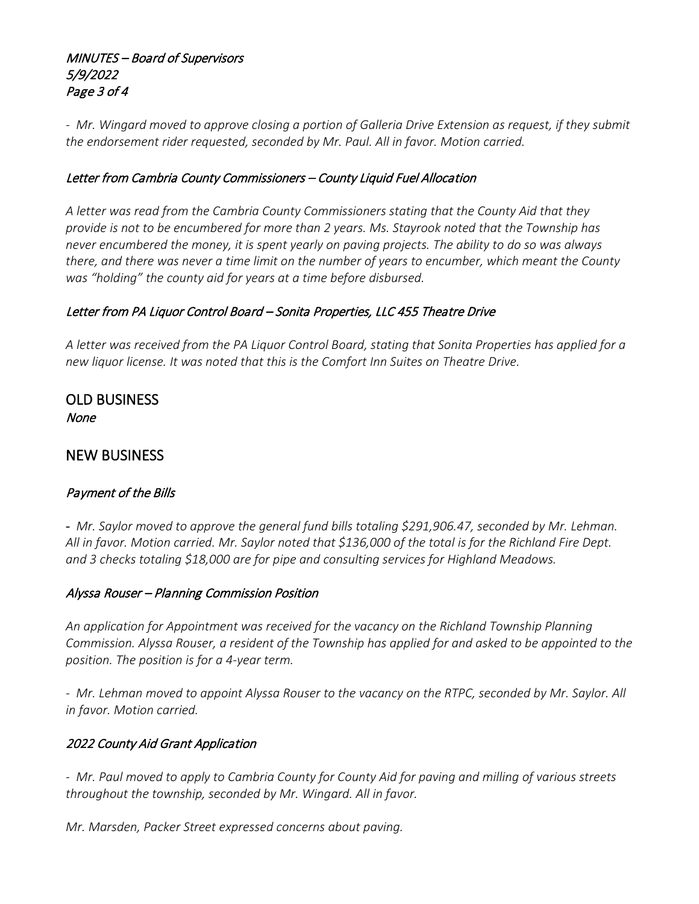### MINUTES – Board of Supervisors 5/9/2022 Page 3 of 4

*- Mr. Wingard moved to approve closing a portion of Galleria Drive Extension as request, if they submit the endorsement rider requested, seconded by Mr. Paul. All in favor. Motion carried.*

### Letter from Cambria County Commissioners – County Liquid Fuel Allocation

*A letter was read from the Cambria County Commissioners stating that the County Aid that they provide is not to be encumbered for more than 2 years. Ms. Stayrook noted that the Township has never encumbered the money, it is spent yearly on paving projects. The ability to do so was always there, and there was never a time limit on the number of years to encumber, which meant the County was "holding" the county aid for years at a time before disbursed.* 

## Letter from PA Liquor Control Board – Sonita Properties, LLC 455 Theatre Drive

*A letter was received from the PA Liquor Control Board, stating that Sonita Properties has applied for a new liquor license. It was noted that this is the Comfort Inn Suites on Theatre Drive.* 

OLD BUSINESS None

### NEW BUSINESS

### Payment of the Bills

- *Mr. Saylor moved to approve the general fund bills totaling \$291,906.47, seconded by Mr. Lehman. All in favor. Motion carried. Mr. Saylor noted that \$136,000 of the total is for the Richland Fire Dept. and 3 checks totaling \$18,000 are for pipe and consulting services for Highland Meadows.*

### Alyssa Rouser – Planning Commission Position

*An application for Appointment was received for the vacancy on the Richland Township Planning Commission. Alyssa Rouser, a resident of the Township has applied for and asked to be appointed to the position. The position is for a 4-year term.*

*- Mr. Lehman moved to appoint Alyssa Rouser to the vacancy on the RTPC, seconded by Mr. Saylor. All in favor. Motion carried.*

### 2022 County Aid Grant Application

*- Mr. Paul moved to apply to Cambria County for County Aid for paving and milling of various streets throughout the township, seconded by Mr. Wingard. All in favor.*

*Mr. Marsden, Packer Street expressed concerns about paving.*